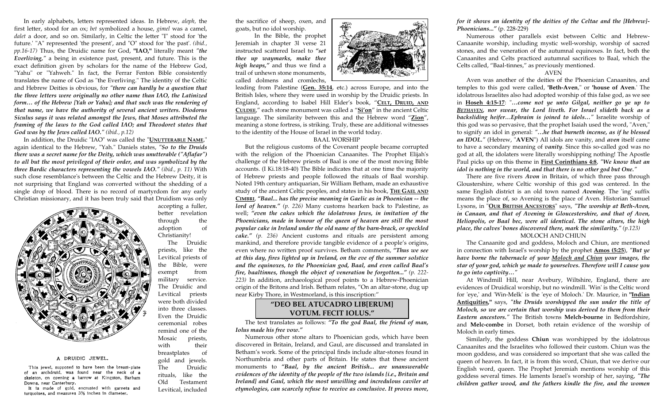In early alphabets, letters represented ideas. In Hebrew, *aleph,* the first letter, stood for an ox; *bet* symbolized a house, *gimel* was a camel, *dalet* a door, and so on. Similarly, in Celtic the letter "I" stood for 'the future.' "A" represented 'the present', and "O" stood for 'the past'. *(ibid., pp.16-17)* Thus, the Druidic name for God, **"IAO,"** literally meant *"the Everliving,"* a being in existence past, present, and future. This is the exact definition given by scholars for the name of the Hebrew God, "Yahu" or "Yahweh." In fact, the Ferrar Fenton Bible consistently translates the name of God as "the Everliving." The identity of the Celtic and Hebrew Deities is obvious, for *"there can hardly be a question that the three letters were originally no other name than IAO, the Latinized form… of the Hebrew [Yah or Yahu]; and that such was the rendering of that name, we have the authority of several ancient writers. Diodorus Siculus says it was related amongst the Jews, that Moses attributed the framing of the laws to the God called IAO; and Theodoret states that God was by the Jews called IAO." (ibid., p.12)*

In addition, the Druidic "IAO" was called the " **UNUTTERABLE NAME**," again identical to the Hebrew, "Yah." Daniels states, *"So to the Druids there was a secret name for the Deity, which was unutterable ("Aflafar") to all but the most privileged of their order, and was symbolized by the three Bardic characters representing the vowels IAO." (ibid., p. 11)* With such close resemblance's between the Celtic and the Hebrew Deity, it is not surprising that England was converted without the shedding of a single drop of blood. There is no record of martyrdom for any early Christian missionary, and it has been truly said that Druidism was only

> accepting a fuller, better revelation through the adoption of Christianity!

> The Druidic priests, like the Levitical priests of the Bible, were exempt from military service. The Druidic and Levitical priests were both divided into three classes. Even the Druidic ceremonial robes remind one of the Mosaic priests, with their breastplates of gold and jewels. The Druidic rituals, like the Old Testament Levitical, included



## A DRUIDIC JEWEL.

This jewel, supposed to have been the breast-plate of an archdruid, was found near the neck of a skeleton, on opening a barrow at Kingston, Barham Downs, near Canterbury.

It is made of gold, encrusted with garnets and turquoises, and measures 31% inches in diameter.

the sacrifice of sheep, oxen, and goats, but no idol worship.

 In the Bible, the prophet Jeremiah in chapter 3l verse 21 instructed scattered Israel to *"set thee up waymarks, make thee high heaps,"* and thus we find a trail of unhewn stone monuments, called dolmens and cromlechs,



leading from Palestine (**Gen. 35:14**, etc.) across Europe, and into the British Isles, where they were used in worship by the Druidic priests. In England, according to Isabel Hill Elder's book, " **CELT, DRUID, AND CULDEE**," each stone monument was called a "**Si'on**" in the ancient Celtic language. The similarity between this and the Hebrew word "**Zion**", meaning a stone fortress, is striking. Truly, these are additional witnesses to the identity of the House of Israel in the world today.

#### BAAL WORSHIP

 But the religious customs of the Covenant people became corrupted with the religion of the Phoenician Canaanites. The Prophet Elijah's challenge of the Hebrew priests of Baal is one of the most moving Bible accounts. (I Ki.18:18-40) The Bible indicates that at one time the majority of Hebrew priests and people followed the rituals of Baal worship. Noted 19th century antiquarian, Sir William Betham, made an exhaustive study of the ancient Celtic peoples, and states in his book, **THE GAEL AND CIMBRI**, *"Baal... has the precise meaning in Gaelic as in Phoenician -- the lord of heaven." (p. 226)* Many customs hearken back to Palestine, as well; *"even the cakes which the idolatrous Jews, in imitation of the Phoenicians, made in honour of the queen of heaven are still the most popular cake in Ireland under the old name of the barn-brack, or speckled cake." (p. 236)* Ancient customs and rituals are persistent among mankind, and therefore provide tangible evidence of a people's origins, even where no written proof survives. Betham comments, *"Thus we see at this day, fires lighted up in Ireland, on the eve of the summer solstice and the equinoxes, to the Phoenician god, Baal, and even called Baal's fire, baaltinnes, though the object of veneration be forgotten..." (p. 222- 223)* In addition, archaeological proof points to a Hebrew-Phoenician origin of the Britons and Irish. Betham relates, "On an altar-stone, dug up near Kirby Thore, in Westmorland, is this inscription:"

# **"DEO BEL ATUCADRO LIB[ERUM] VOTUM. FECIT IOLUS."**

 The text translates as follows: *"To the god Baal, the friend of man, Iolus made his free vow."*

 Numerous other stone altars to Phoenician gods, which have been discovered in Britain, Ireland, and Gaul, are discussed and translated in Betham's work. Some of the principal finds include altar-stones found in Northumbria and other parts of Britain. He states that these ancient monuments to *"Baal, by the ancient British... are unanswerable evidences of the identity of the people of the two islands {i.e., Britain and Ireland] and Gaul, which the most unwilling and incredulous caviler at etymologies, can scarcely refuse to receive as conclusive. It proves more,* 

*for it shows an identity of the deities of the Celtae and the [Hebrew]- Phoenicians..."* (p. 228-229)

 Numerous other parallels exist between Celtic and Hebrew-Canaanite worship, including mystic well-worship, worship of sacred stones, and the veneration of the autumnal equinoxes. In fact, both the Canaanites and Celts practiced autumnal sacrifices to Baal, which the Celts called, "Baal-tinnes," as previously mentioned.

# AVEN

 Aven was another of the deities of the Phoenician Canaanites, and temples to this god were called, **'Beth-Aven**," or **'house of Aven**.' The idolatrous Israelites also had adopted worship of this false god, as we see in **Hoseh 4:15-17**: "*…come not ye unto Gilgal, neither go ye up to BETHAVEN, nor swear, the Lord liveth. For Israel slideth back as a backsliding heifer…Ephraim is joined to idols…"* Israelite worship of this god was so pervasive, that the prophet Isaiah used the word, "Aven," to signify an idol in general: *"…he that burneth incense, as if he blessed an IDOL."* (Hebrew, "**AVEN**") All idols are vanity, and *aven* itself came to have a secondary meaning of *vanity*. Since this so-called god was no god at all, the idolaters were literally worshipping nothing! The Apostle Paul picks up on this theme in **First Corinthians 4:8**, *"We know that an idol is nothing in the world, and that there is no other god but One."*

 There are five rivers *Avon* in Britain, of which three pass through Gloustershire, where Celtic worship of this god was centered. In the same English district is an old town named *Avening*. The 'ing' suffix means the place of, so Avening is the place of Aven. Historian Samuel Lysons, in " **OUR BRITISH ANCESTORS**" says, *"The worship at Beth-Aven, in Canaan, and that of Avening in Gloucestershire, and that of Aven, Heliopolis, or Baal bec, were all identical. The stone altars, the high place, the calves' bones discovered there, mark the similarity." (p.123)*

#### MOLOCH AND CHIUN

 The Canaanite god and goddess, Moloch and Chiun, are mentioned in connection with Israel's worship by the prophet **Amos (5:25**), *"But ye have borne the tabernacle of your Moloch and Chiun your images, the star of your god, which ye made to yourselves. Therefore will I cause you to go into captivity…"*

 At Windmill Hill, near Avebury, Wiltshire, England, there are evidences of Druidical worship, but no windmill. 'Win' is the Celtic word for 'eye,' and 'Win-Melk' is the 'eye of Moloch.' Dr. Maurice, in **"Indian Antiquities,"** says, *"the Druids worshipped the sun under the title of Moloch, so we are certain that worship was derived to them from their Eastern ancestors."* The British towns **Melch-bourne** in Bedfordshire, and **Melc-combe** in Dorset, both retain evidence of the worship of Moloch in early times.

 Similarly, the goddess **Chiun** was worshipped by the idolatrous Canaanites and the Israelites who followed their custom. Chiun was the moon goddess, and was considered so important that she was called the queen of heaven. In fact, it is from this word, Chiun, that we derive our English word, queen. The Prophet Jeremiah mentions worship of this goddess several times. He laments Israel's worship of her, saying, *"The children gather wood, and the fathers kindle the fire, and the women*